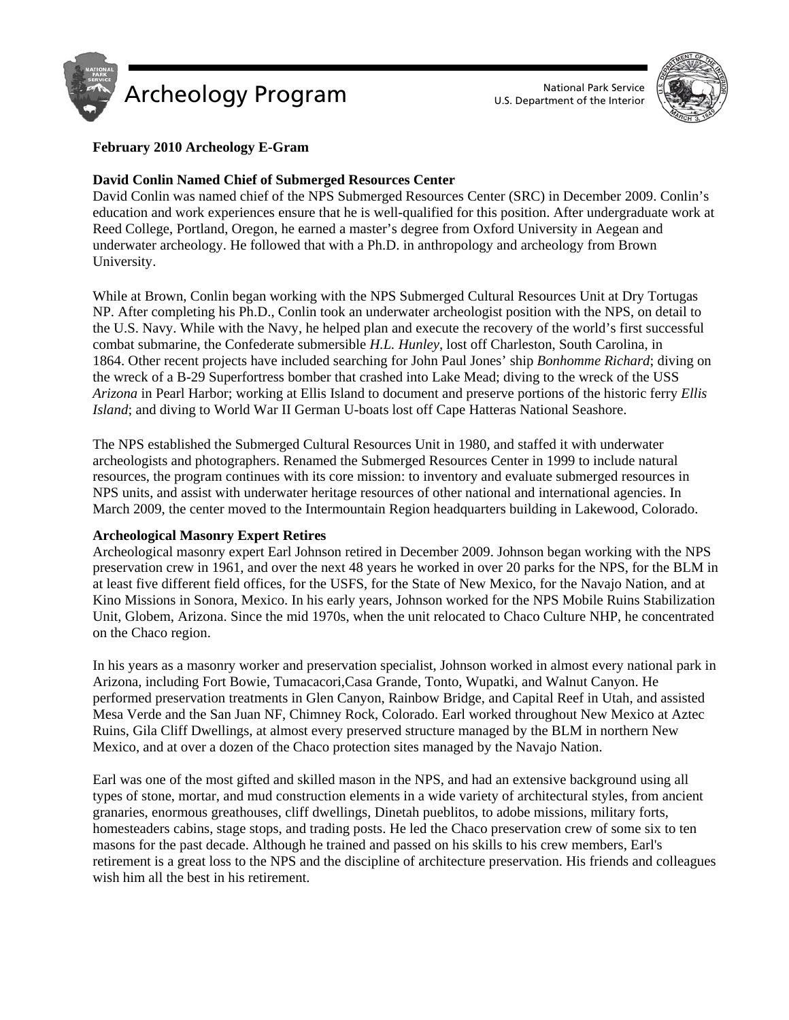



# **February 2010 Archeology E-Gram**

# **David Conlin Named Chief of Submerged Resources Center**

David Conlin was named chief of the NPS Submerged Resources Center (SRC) in December 2009. Conlin's education and work experiences ensure that he is well-qualified for this position. After undergraduate work at Reed College, Portland, Oregon, he earned a master's degree from Oxford University in Aegean and underwater archeology. He followed that with a Ph.D. in anthropology and archeology from Brown University.

While at Brown, Conlin began working with the NPS Submerged Cultural Resources Unit at Dry Tortugas NP. After completing his Ph.D., Conlin took an underwater archeologist position with the NPS, on detail to the U.S. Navy. While with the Navy, he helped plan and execute the recovery of the world's first successful combat submarine, the Confederate submersible *H.L. Hunley,* lost off Charleston, South Carolina, in 1864. Other recent projects have included searching for John Paul Jones' ship *Bonhomme Richard*; diving on the wreck of a B-29 Superfortress bomber that crashed into Lake Mead; diving to the wreck of the USS *Arizona* in Pearl Harbor; working at Ellis Island to document and preserve portions of the historic ferry *Ellis Island*; and diving to World War II German U-boats lost off Cape Hatteras National Seashore.

The NPS established the Submerged Cultural Resources Unit in 1980, and staffed it with underwater archeologists and photographers. Renamed the Submerged Resources Center in 1999 to include natural resources, the program continues with its core mission: to inventory and evaluate submerged resources in NPS units, and assist with underwater heritage resources of other national and international agencies. In March 2009, the center moved to the Intermountain Region headquarters building in Lakewood, Colorado.

# **Archeological Masonry Expert Retires**

Archeological masonry expert Earl Johnson retired in December 2009. Johnson began working with the NPS preservation crew in 1961, and over the next 48 years he worked in over 20 parks for the NPS, for the BLM in at least five different field offices, for the USFS, for the State of New Mexico, for the Navajo Nation, and at Kino Missions in Sonora, Mexico. In his early years, Johnson worked for the NPS Mobile Ruins Stabilization Unit, Globem, Arizona. Since the mid 1970s, when the unit relocated to Chaco Culture NHP, he concentrated on the Chaco region.

In his years as a masonry worker and preservation specialist, Johnson worked in almost every national park in Arizona, including Fort Bowie, Tumacacori,Casa Grande, Tonto, Wupatki, and Walnut Canyon. He performed preservation treatments in Glen Canyon, Rainbow Bridge, and Capital Reef in Utah, and assisted Mesa Verde and the San Juan NF, Chimney Rock, Colorado. Earl worked throughout New Mexico at Aztec Ruins, Gila Cliff Dwellings, at almost every preserved structure managed by the BLM in northern New Mexico, and at over a dozen of the Chaco protection sites managed by the Navajo Nation.

Earl was one of the most gifted and skilled mason in the NPS, and had an extensive background using all types of stone, mortar, and mud construction elements in a wide variety of architectural styles, from ancient granaries, enormous greathouses, cliff dwellings, Dinetah pueblitos, to adobe missions, military forts, homesteaders cabins, stage stops, and trading posts. He led the Chaco preservation crew of some six to ten masons for the past decade. Although he trained and passed on his skills to his crew members, Earl's retirement is a great loss to the NPS and the discipline of architecture preservation. His friends and colleagues wish him all the best in his retirement.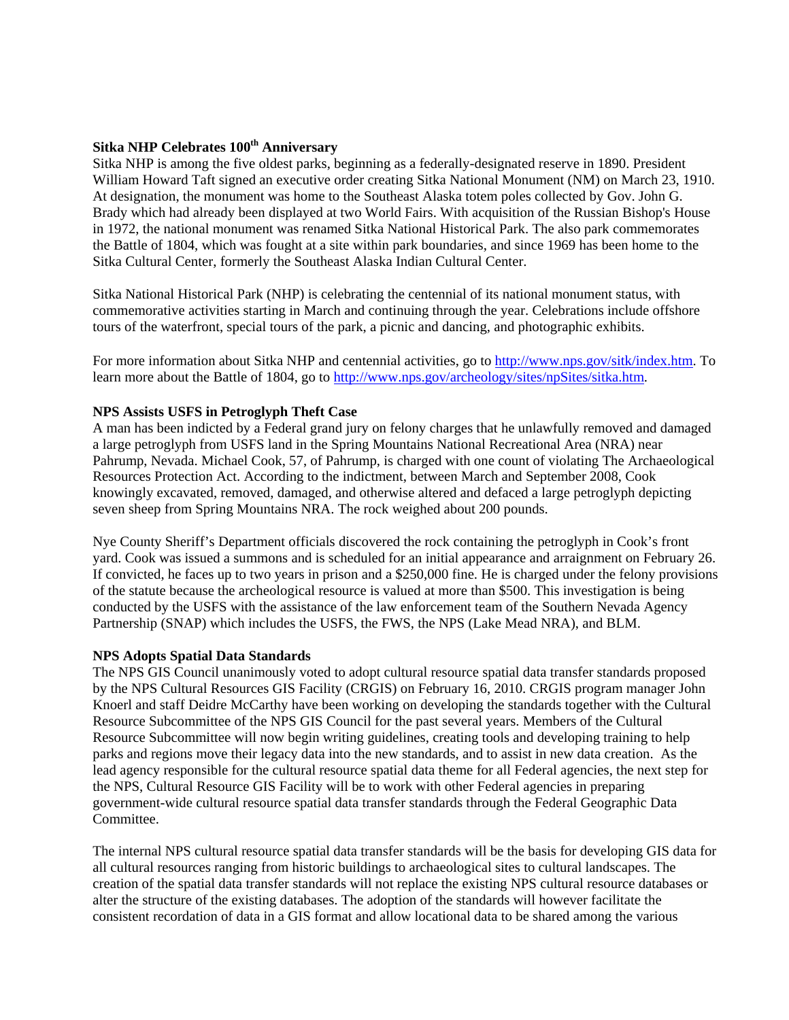# **Sitka NHP Celebrates 100th Anniversary**

Sitka NHP is among the five oldest parks, beginning as a federally-designated reserve in 1890. President William Howard Taft signed an executive order creating Sitka National Monument (NM) on March 23, 1910. At designation, the monument was home to the Southeast Alaska totem poles collected by Gov. John G. Brady which had already been displayed at two World Fairs. With acquisition of the Russian Bishop's House in 1972, the national monument was renamed Sitka National Historical Park. The also park commemorates the Battle of 1804, which was fought at a site within park boundaries, and since 1969 has been home to the Sitka Cultural Center, formerly the Southeast Alaska Indian Cultural Center.

Sitka National Historical Park (NHP) is celebrating the centennial of its national monument status, with commemorative activities starting in March and continuing through the year. Celebrations include offshore tours of the waterfront, special tours of the park, a picnic and dancing, and photographic exhibits.

For more information about Sitka NHP and centennial activities, go to http://www.nps.gov/sitk/index.htm. To learn more about the Battle of 1804, go to http://www.nps.gov/archeology/sites/npSites/sitka.htm.

# **NPS Assists USFS in Petroglyph Theft Case**

A man has been indicted by a Federal grand jury on felony charges that he unlawfully removed and damaged a large petroglyph from USFS land in the Spring Mountains National Recreational Area (NRA) near Pahrump, Nevada. Michael Cook, 57, of Pahrump, is charged with one count of violating The Archaeological Resources Protection Act. According to the indictment, between March and September 2008, Cook knowingly excavated, removed, damaged, and otherwise altered and defaced a large petroglyph depicting seven sheep from Spring Mountains NRA. The rock weighed about 200 pounds.

Nye County Sheriff's Department officials discovered the rock containing the petroglyph in Cook's front yard. Cook was issued a summons and is scheduled for an initial appearance and arraignment on February 26. If convicted, he faces up to two years in prison and a \$250,000 fine. He is charged under the felony provisions of the statute because the archeological resource is valued at more than \$500. This investigation is being conducted by the USFS with the assistance of the law enforcement team of the Southern Nevada Agency Partnership (SNAP) which includes the USFS, the FWS, the NPS (Lake Mead NRA), and BLM.

#### **NPS Adopts Spatial Data Standards**

The NPS GIS Council unanimously voted to adopt cultural resource spatial data transfer standards proposed by the NPS Cultural Resources GIS Facility (CRGIS) on February 16, 2010. CRGIS program manager John Knoerl and staff Deidre McCarthy have been working on developing the standards together with the Cultural Resource Subcommittee of the NPS GIS Council for the past several years. Members of the Cultural Resource Subcommittee will now begin writing guidelines, creating tools and developing training to help parks and regions move their legacy data into the new standards, and to assist in new data creation. As the lead agency responsible for the cultural resource spatial data theme for all Federal agencies, the next step for the NPS, Cultural Resource GIS Facility will be to work with other Federal agencies in preparing government-wide cultural resource spatial data transfer standards through the Federal Geographic Data Committee.

The internal NPS cultural resource spatial data transfer standards will be the basis for developing GIS data for all cultural resources ranging from historic buildings to archaeological sites to cultural landscapes. The creation of the spatial data transfer standards will not replace the existing NPS cultural resource databases or alter the structure of the existing databases. The adoption of the standards will however facilitate the consistent recordation of data in a GIS format and allow locational data to be shared among the various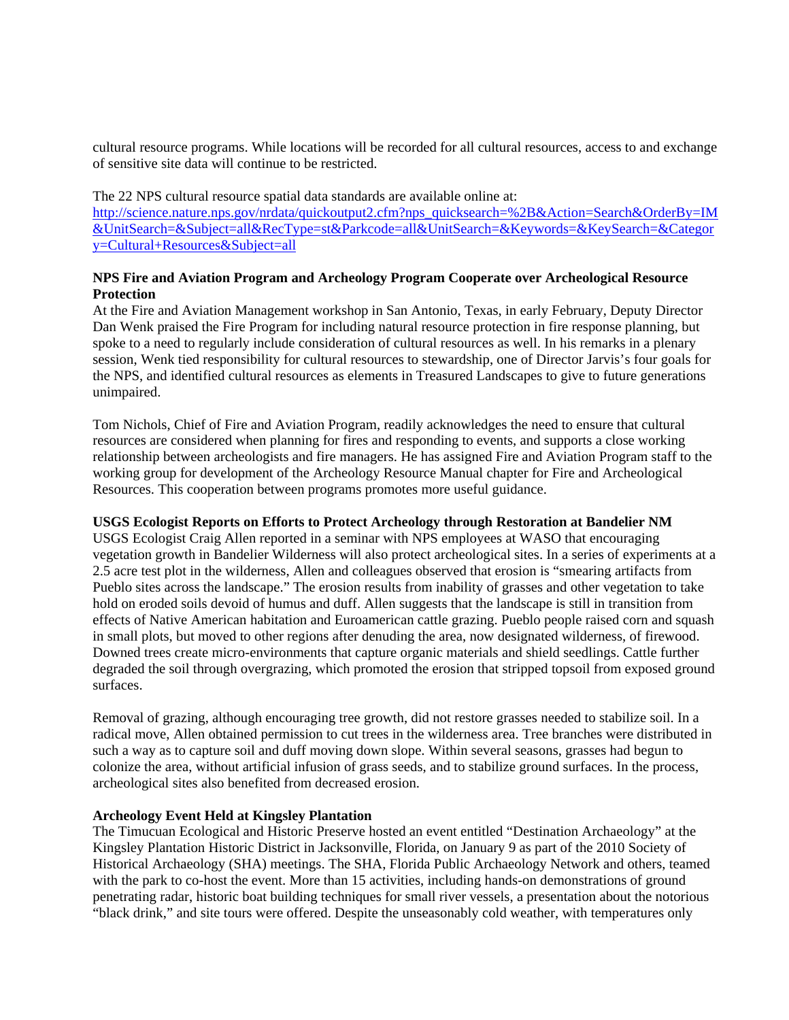cultural resource programs. While locations will be recorded for all cultural resources, access to and exchange of sensitive site data will continue to be restricted.

The 22 NPS cultural resource spatial data standards are available online at: [http://science.nature.nps.gov/nrdata/quickoutput2.cfm?nps\\_quicksearch=%2B&Action=Search&OrderBy=IM](http://science.nature.nps.gov/nrdata/quickoutput2.cfm?nps_quicksearch=%2B&Action=Search&OrderBy=IM&UnitSearch=&Subject=all&RecType=st&Parkcode=all&UnitSearch=&Keywords=&KeySearch=&Category=Cultural+Resources&Subject=all) &UnitSearch=&Subject=all&RecType=st&Parkcode=all&UnitSearch=&Keywords=&KeySearch=&Categor y=Cultural+Resources&Subject=all

#### **NPS Fire and Aviation Program and Archeology Program Cooperate over Archeological Resource Protection**

At the Fire and Aviation Management workshop in San Antonio, Texas, in early February, Deputy Director Dan Wenk praised the Fire Program for including natural resource protection in fire response planning, but spoke to a need to regularly include consideration of cultural resources as well. In his remarks in a plenary session, Wenk tied responsibility for cultural resources to stewardship, one of Director Jarvis's four goals for the NPS, and identified cultural resources as elements in Treasured Landscapes to give to future generations unimpaired.

Tom Nichols, Chief of Fire and Aviation Program, readily acknowledges the need to ensure that cultural resources are considered when planning for fires and responding to events, and supports a close working relationship between archeologists and fire managers. He has assigned Fire and Aviation Program staff to the working group for development of the Archeology Resource Manual chapter for Fire and Archeological Resources. This cooperation between programs promotes more useful guidance.

# **USGS Ecologist Reports on Efforts to Protect Archeology through Restoration at Bandelier NM**

USGS Ecologist Craig Allen reported in a seminar with NPS employees at WASO that encouraging vegetation growth in Bandelier Wilderness will also protect archeological sites. In a series of experiments at a 2.5 acre test plot in the wilderness, Allen and colleagues observed that erosion is "smearing artifacts from Pueblo sites across the landscape." The erosion results from inability of grasses and other vegetation to take hold on eroded soils devoid of humus and duff. Allen suggests that the landscape is still in transition from effects of Native American habitation and Euroamerican cattle grazing. Pueblo people raised corn and squash in small plots, but moved to other regions after denuding the area, now designated wilderness, of firewood. Downed trees create micro-environments that capture organic materials and shield seedlings. Cattle further degraded the soil through overgrazing, which promoted the erosion that stripped topsoil from exposed ground surfaces.

Removal of grazing, although encouraging tree growth, did not restore grasses needed to stabilize soil. In a radical move, Allen obtained permission to cut trees in the wilderness area. Tree branches were distributed in such a way as to capture soil and duff moving down slope. Within several seasons, grasses had begun to colonize the area, without artificial infusion of grass seeds, and to stabilize ground surfaces. In the process, archeological sites also benefited from decreased erosion.

# **Archeology Event Held at Kingsley Plantation**

The Timucuan Ecological and Historic Preserve hosted an event entitled "Destination Archaeology" at the Kingsley Plantation Historic District in Jacksonville, Florida, on January 9 as part of the 2010 Society of Historical Archaeology (SHA) meetings. The SHA, Florida Public Archaeology Network and others, teamed with the park to co-host the event. More than 15 activities, including hands-on demonstrations of ground penetrating radar, historic boat building techniques for small river vessels, a presentation about the notorious "black drink," and site tours were offered. Despite the unseasonably cold weather, with temperatures only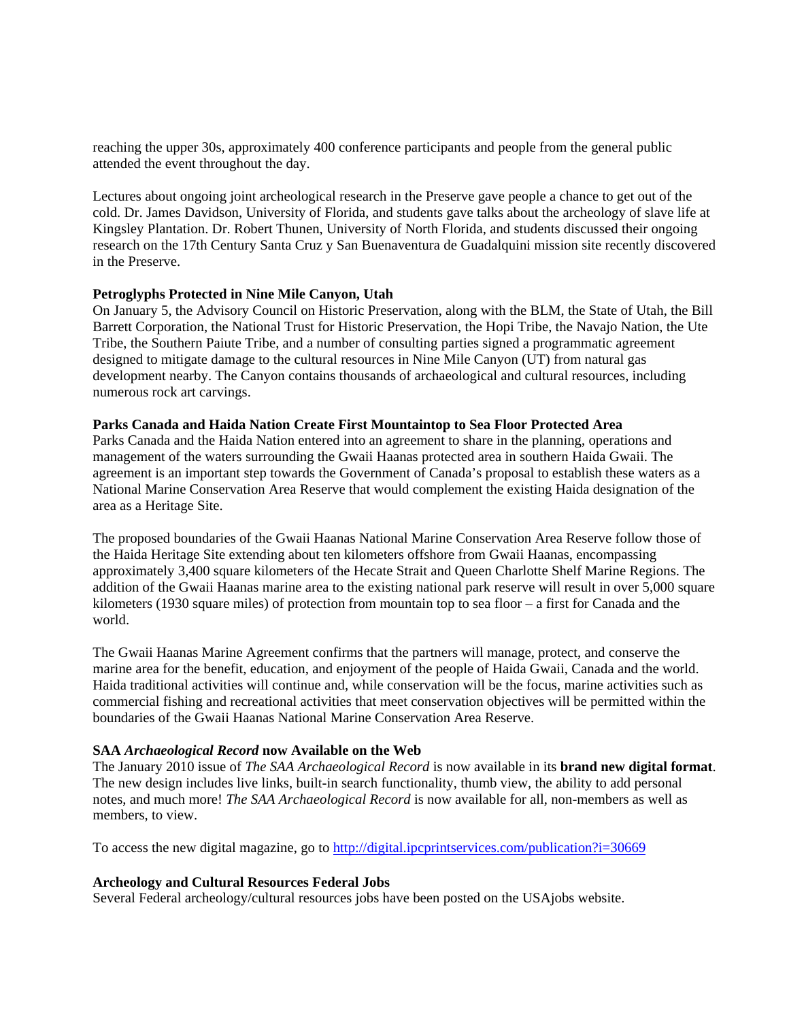reaching the upper 30s, approximately 400 conference participants and people from the general public attended the event throughout the day.

Lectures about ongoing joint archeological research in the Preserve gave people a chance to get out of the cold. Dr. James Davidson, University of Florida, and students gave talks about the archeology of slave life at Kingsley Plantation. Dr. Robert Thunen, University of North Florida, and students discussed their ongoing research on the 17th Century Santa Cruz y San Buenaventura de Guadalquini mission site recently discovered in the Preserve.

#### **Petroglyphs Protected in Nine Mile Canyon, Utah**

On January 5, the Advisory Council on Historic Preservation, along with the BLM, the State of Utah, the Bill Barrett Corporation, the National Trust for Historic Preservation, the Hopi Tribe, the Navajo Nation, the Ute Tribe, the Southern Paiute Tribe, and a number of consulting parties signed a programmatic agreement designed to mitigate damage to the cultural resources in Nine Mile Canyon (UT) from natural gas development nearby. The Canyon contains thousands of archaeological and cultural resources, including numerous rock art carvings.

#### **Parks Canada and Haida Nation Create First Mountaintop to Sea Floor Protected Area**

Parks Canada and the Haida Nation entered into an agreement to share in the planning, operations and management of the waters surrounding the Gwaii Haanas protected area in southern Haida Gwaii. The agreement is an important step towards the Government of Canada's proposal to establish these waters as a National Marine Conservation Area Reserve that would complement the existing Haida designation of the area as a Heritage Site.

The proposed boundaries of the Gwaii Haanas National Marine Conservation Area Reserve follow those of the Haida Heritage Site extending about ten kilometers offshore from Gwaii Haanas, encompassing approximately 3,400 square kilometers of the Hecate Strait and Queen Charlotte Shelf Marine Regions. The addition of the Gwaii Haanas marine area to the existing national park reserve will result in over 5,000 square kilometers (1930 square miles) of protection from mountain top to sea floor – a first for Canada and the world.

The Gwaii Haanas Marine Agreement confirms that the partners will manage, protect, and conserve the marine area for the benefit, education, and enjoyment of the people of Haida Gwaii, Canada and the world. Haida traditional activities will continue and, while conservation will be the focus, marine activities such as commercial fishing and recreational activities that meet conservation objectives will be permitted within the boundaries of the Gwaii Haanas National Marine Conservation Area Reserve.

# **SAA** *Archaeological Record* **now Available on the Web**

The January 2010 issue of *The SAA Archaeological Record* is now available in its **brand new digital format**. The new design includes live links, built-in search functionality, thumb view, the ability to add personal notes, and much more! *The SAA Archaeological Record* is now available for all, non-members as well as members, to view.

To access the new digital magazine, go to http://digital.ipcprintservices.com/publication?i=30669

# **Archeology and Cultural Resources Federal Jobs**

Several Federal archeology/cultural resources jobs have been posted on the USAjobs website.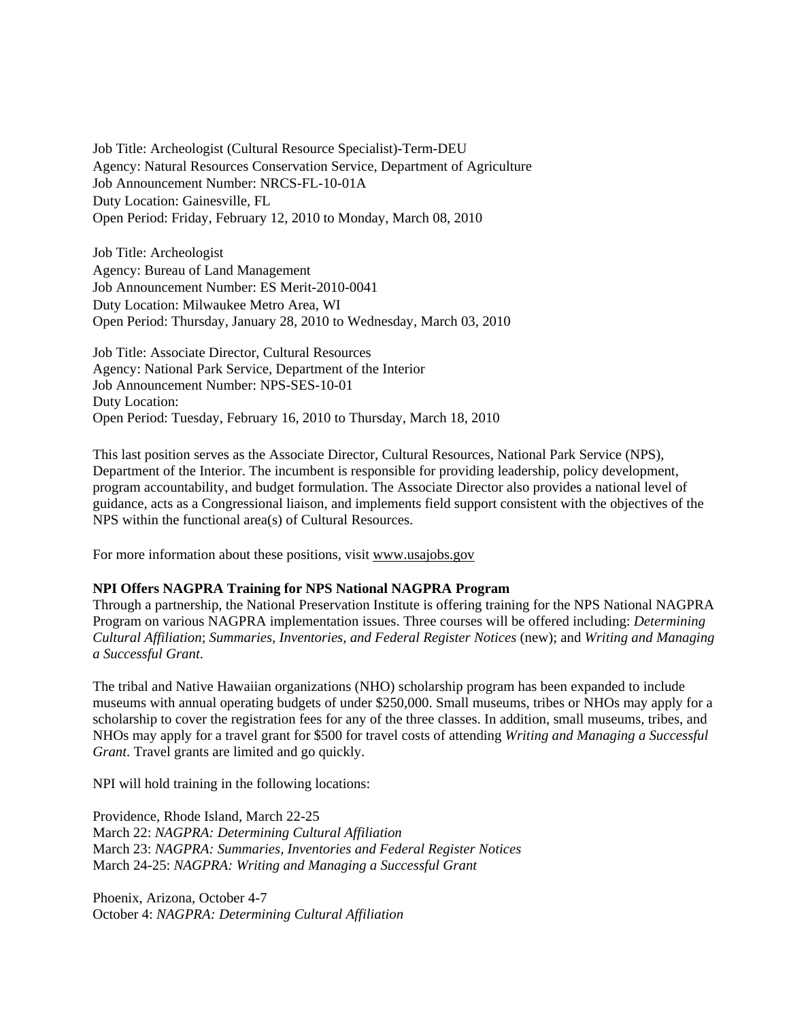Job Title: Archeologist (Cultural Resource Specialist)-Term-DEU Agency: Natural Resources Conservation Service, Department of Agriculture Job Announcement Number: NRCS-FL-10-01A Duty Location: Gainesville, FL Open Period: Friday, February 12, 2010 to Monday, March 08, 2010

Job Title: Archeologist Agency: Bureau of Land Management Job Announcement Number: ES Merit-2010-0041 Duty Location: Milwaukee Metro Area, WI Open Period: Thursday, January 28, 2010 to Wednesday, March 03, 2010

Job Title: Associate Director, Cultural Resources Agency: National Park Service, Department of the Interior Job Announcement Number: NPS-SES-10-01 Duty Location: Open Period: Tuesday, February 16, 2010 to Thursday, March 18, 2010

This last position serves as the Associate Director, Cultural Resources, National Park Service (NPS), Department of the Interior. The incumbent is responsible for providing leadership, policy development, program accountability, and budget formulation. The Associate Director also provides a national level of guidance, acts as a Congressional liaison, and implements field support consistent with the objectives of the NPS within the functional area(s) of Cultural Resources.

For more information about these positions, visit www.usajobs.gov

# **NPI Offers NAGPRA Training for NPS National NAGPRA Program**

Through a partnership, the National Preservation Institute is offering training for the NPS National NAGPRA Program on various NAGPRA implementation issues. Three courses will be offered including: *Determining Cultural Affiliation*; *Summaries, Inventories, and Federal Register Notices* (new); and *Writing and Managing a Successful Grant*.

The tribal and Native Hawaiian organizations (NHO) scholarship program has been expanded to include museums with annual operating budgets of under \$250,000. Small museums, tribes or NHOs may apply for a scholarship to cover the registration fees for any of the three classes. In addition, small museums, tribes, and NHOs may apply for a travel grant for \$500 for travel costs of attending *Writing and Managing a Successful Grant*. Travel grants are limited and go quickly.

NPI will hold training in the following locations:

Providence, Rhode Island, March 22-25 March 22: *NAGPRA: Determining Cultural Affiliation* March 23: *NAGPRA: Summaries, Inventories and Federal Register Notices* March 24-25: *NAGPRA: Writing and Managing a Successful Grant*

Phoenix, Arizona, October 4-7 October 4: *NAGPRA: Determining Cultural Affiliation*